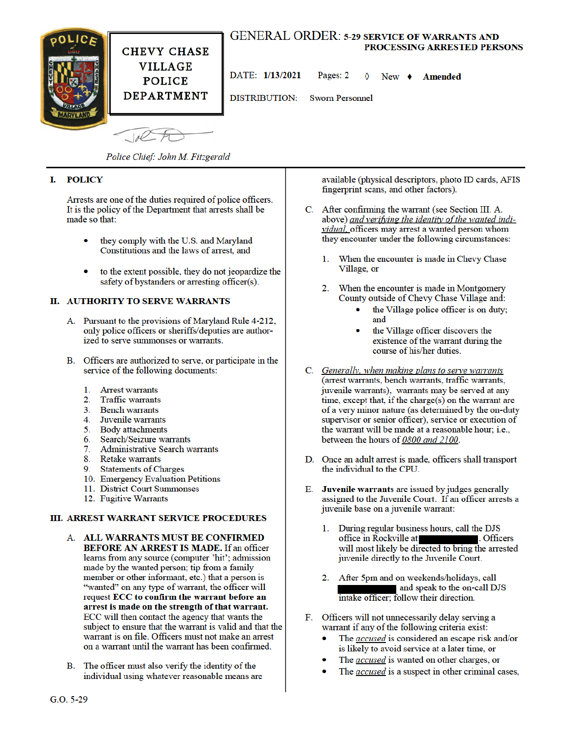

Police Chief: John M. Fitzgerald

#### I. **POLICY**

Arrests are one of the duties required of police officers. It is the policy of the Department that arrests shall be made so that:

- they comply with the U.S. and Maryland Constitutions and the laws of arrest, and
- to the extent possible, they do not jeopardize the safety of bystanders or arresting officer(s).

#### **II. AUTHORITY TO SERVE WARRANTS**

- A. Pursuant to the provisions of Maryland Rule 4-212, only police officers or sheriffs/deputies are authorized to serve summonses or warrants.
- B. Officers are authorized to serve, or participate in the service of the following documents:
	- $\mathbf{1}$ . **Arrest warrants**
	- $\overline{2}$ . **Traffic warrants**
	- $3<sup>1</sup>$ **Bench warrants**
	- $\mathbf{A}$ Juvenile warrants
	- 5. **Body** attachments
	- Search/Seizure warrants 6.
	- **Administrative Search warrants**  $7<sub>1</sub>$
	- 8. Retake warrants
	- 9. **Statements of Charges**
	- 10. Emergency Evaluation Petitions
	- 11. District Court Summonses
	- 12. Fugitive Warrants

#### **III. ARREST WARRANT SERVICE PROCEDURES**

- A. ALL WARRANTS MUST BE CONFIRMED **BEFORE AN ARREST IS MADE.** If an officer learns from any source (computer 'hit'; admission made by the wanted person; tip from a family member or other informant, etc.) that a person is "wanted" on any type of warrant, the officer will request ECC to confirm the warrant before an arrest is made on the strength of that warrant. ECC will then contact the agency that wants the subject to ensure that the warrant is valid and that the warrant is on file. Officers must not make an arrest on a warrant until the warrant has been confirmed.
- B. The officer must also verify the identity of the individual using whatever reasonable means are

available (physical descriptors, photo ID cards, AFIS fingerprint scans, and other factors).

- C. After confirming the warrant (see Section III. A. above) and verifying the identity of the wanted individual, officers may arrest a wanted person whom they encounter under the following circumstances:
	- When the encounter is made in Chevy Chase  $1_{-}$ Village, or
	- $2.$ When the encounter is made in Montgomery County outside of Chevy Chase Village and:
		- the Village police officer is on duty; and
		- the Village officer discovers the existence of the warrant during the course of his/her duties.
- C. Generally, when making plans to serve warrants (arrest warrants, bench warrants, traffic warrants, juvenile warrants), warrants may be served at any time, except that, if the charge(s) on the warrant are of a very minor nature (as determined by the on-duty supervisor or senior officer), service or execution of the warrant will be made at a reasonable hour; i.e., between the hours of 0800 and 2100.
- D. Once an adult arrest is made, officers shall transport the individual to the CPU.
- Е. Juvenile warrants are issued by judges generally assigned to the Juvenile Court. If an officer arrests a juvenile base on a juvenile warrant:
	- During regular business hours, call the DJS  $1<sup>1</sup>$ office in Rockville at . Officers will most likely be directed to bring the arrested juvenile directly to the Juvenile Court.
	- 2. After 5pm and on weekends/holidays, call and speak to the on-call DJS intake officer; follow their direction.
- F. Officers will not unnecessarily delay serving a warrant if any of the following criteria exist:
	- The *accused* is considered an escape risk and/or is likely to avoid service at a later time, or
	- The *accused* is wanted on other charges, or
	- The *accused* is a suspect in other criminal cases,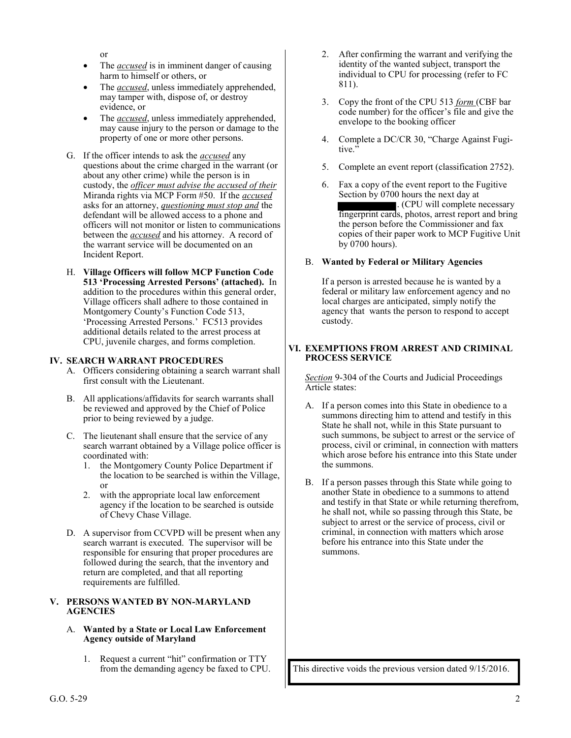or

- The *accused* is in imminent danger of causing harm to himself or others, or
- The *accused*, unless immediately apprehended, may tamper with, dispose of, or destroy evidence, or
- The *accused*, unless immediately apprehended, may cause injury to the person or damage to the property of one or more other persons.
- G. If the officer intends to ask the *accused* any questions about the crime charged in the warrant (or about any other crime) while the person is in custody, the *officer must advise the accused of their* Miranda rights via MCP Form #50. If the *accused*  asks for an attorney, *questioning must stop and* the defendant will be allowed access to a phone and officers will not monitor or listen to communications between the *accused* and his attorney. A record of the warrant service will be documented on an Incident Report.
- H. **Village Officers will follow MCP Function Code 513 'Processing Arrested Persons' (attached).** In addition to the procedures within this general order, Village officers shall adhere to those contained in Montgomery County's Function Code 513, 'Processing Arrested Persons.' FC513 provides additional details related to the arrest process at CPU, juvenile charges, and forms completion.

#### **IV. SEARCH WARRANT PROCEDURES**

- A. Officers considering obtaining a search warrant shall first consult with the Lieutenant.
- B. All applications/affidavits for search warrants shall be reviewed and approved by the Chief of Police prior to being reviewed by a judge.
- C. The lieutenant shall ensure that the service of any search warrant obtained by a Village police officer is coordinated with:
	- 1. the Montgomery County Police Department if the location to be searched is within the Village, or
	- 2. with the appropriate local law enforcement agency if the location to be searched is outside of Chevy Chase Village.
- D. A supervisor from CCVPD will be present when any search warrant is executed. The supervisor will be responsible for ensuring that proper procedures are followed during the search, that the inventory and return are completed, and that all reporting requirements are fulfilled.

#### **V. PERSONS WANTED BY NON-MARYLAND AGENCIES**

#### A. **Wanted by a State or Local Law Enforcement Agency outside of Maryland**

1. Request a current "hit" confirmation or TTY from the demanding agency be faxed to CPU.

- 2. After confirming the warrant and verifying the identity of the wanted subject, transport the individual to CPU for processing (refer to FC 811).
- 3. Copy the front of the CPU 513 *form* (CBF bar code number) for the officer's file and give the envelope to the booking officer
- 4. Complete a DC/CR 30, "Charge Against Fugitive."
- 5. Complete an event report (classification 2752).
- 6. Fax a copy of the event report to the Fugitive Section by 0700 hours the next day at . (CPU will complete necessary fingerprint cards, photos, arrest report and bring the person before the Commissioner and fax copies of their paper work to MCP Fugitive Unit by 0700 hours).

#### B. **Wanted by Federal or Military Agencies**

If a person is arrested because he is wanted by a federal or military law enforcement agency and no local charges are anticipated, simply notify the agency that wants the person to respond to accept custody.

#### **VI. EXEMPTIONS FROM ARREST AND CRIMINAL PROCESS SERVICE**

*Section* 9-304 of the Courts and Judicial Proceedings Article states:

- A. If a person comes into this State in obedience to a summons directing him to attend and testify in this State he shall not, while in this State pursuant to such summons, be subject to arrest or the service of process, civil or criminal, in connection with matters which arose before his entrance into this State under the summons.
- B. If a person passes through this State while going to another State in obedience to a summons to attend and testify in that State or while returning therefrom, he shall not, while so passing through this State, be subject to arrest or the service of process, civil or criminal, in connection with matters which arose before his entrance into this State under the summons.

This directive voids the previous version dated 9/15/2016.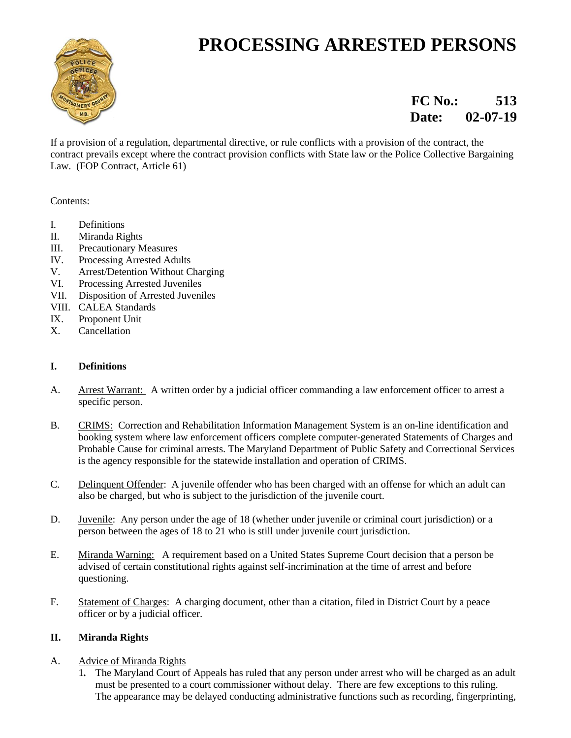# **PROCESSING ARRESTED PERSONS**



## **FC No.:** 513  **Date: 02-07-19**

If a provision of a regulation, departmental directive, or rule conflicts with a provision of the contract, the contract prevails except where the contract provision conflicts with State law or the Police Collective Bargaining Law. (FOP Contract, Article 61)

Contents:

- I. Definitions
- II. Miranda Rights
- III. Precautionary Measures
- IV. Processing Arrested Adults
- V. Arrest/Detention Without Charging
- VI. Processing Arrested Juveniles
- VII. Disposition of Arrested Juveniles
- VIII. CALEA Standards
- IX. Proponent Unit
- X. Cancellation

#### **I. Definitions**

- A. Arrest Warrant: A written order by a judicial officer commanding a law enforcement officer to arrest a specific person.
- B. CRIMS: Correction and Rehabilitation Information Management System is an on-line identification and booking system where law enforcement officers complete computer-generated Statements of Charges and Probable Cause for criminal arrests. The Maryland Department of Public Safety and Correctional Services is the agency responsible for the statewide installation and operation of CRIMS.
- C. Delinquent Offender: A juvenile offender who has been charged with an offense for which an adult can also be charged, but who is subject to the jurisdiction of the juvenile court.
- D. Juvenile: Any person under the age of 18 (whether under juvenile or criminal court jurisdiction) or a person between the ages of 18 to 21 who is still under juvenile court jurisdiction.
- E. Miranda Warning: A requirement based on a United States Supreme Court decision that a person be advised of certain constitutional rights against self-incrimination at the time of arrest and before questioning.
- F. Statement of Charges: A charging document, other than a citation, filed in District Court by a peace officer or by a judicial officer.

### **II. Miranda Rights**

#### A. Advice of Miranda Rights

 1*.* The Maryland Court of Appeals has ruled that any person under arrest who will be charged as an adult must be presented to a court commissioner without delay. There are few exceptions to this ruling. The appearance may be delayed conducting administrative functions such as recording, fingerprinting,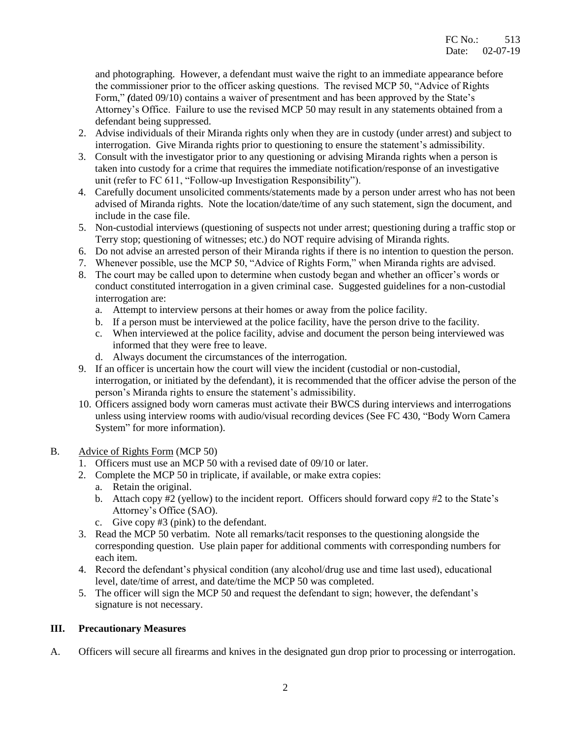and photographing. However, a defendant must waive the right to an immediate appearance before the commissioner prior to the officer asking questions. The revised MCP 50, "Advice of Rights Form," (dated 09/10) contains a waiver of presentment and has been approved by the State's Attorney's Office. Failure to use the revised MCP 50 may result in any statements obtained from a defendant being suppressed.

- 2. Advise individuals of their Miranda rights only when they are in custody (under arrest) and subject to interrogation. Give Miranda rights prior to questioning to ensure the statement's admissibility.
- 3. Consult with the investigator prior to any questioning or advising Miranda rights when a person is taken into custody for a crime that requires the immediate notification/response of an investigative unit (refer to FC 611, "Follow-up Investigation Responsibility").
- 4. Carefully document unsolicited comments/statements made by a person under arrest who has not been advised of Miranda rights. Note the location/date/time of any such statement, sign the document, and include in the case file.
- 5. Non-custodial interviews (questioning of suspects not under arrest; questioning during a traffic stop or Terry stop; questioning of witnesses; etc.) do NOT require advising of Miranda rights.
- 6. Do not advise an arrested person of their Miranda rights if there is no intention to question the person.
- 7. Whenever possible, use the MCP 50, "Advice of Rights Form," when Miranda rights are advised.
- 8. The court may be called upon to determine when custody began and whether an officer's words or conduct constituted interrogation in a given criminal case. Suggested guidelines for a non-custodial interrogation are:
	- a. Attempt to interview persons at their homes or away from the police facility.
	- b. If a person must be interviewed at the police facility, have the person drive to the facility.
	- c. When interviewed at the police facility, advise and document the person being interviewed was informed that they were free to leave.
	- d. Always document the circumstances of the interrogation.
- 9. If an officer is uncertain how the court will view the incident (custodial or non-custodial, interrogation, or initiated by the defendant), it is recommended that the officer advise the person of the person's Miranda rights to ensure the statement's admissibility.
- 10. Officers assigned body worn cameras must activate their BWCS during interviews and interrogations unless using interview rooms with audio/visual recording devices (See FC 430, "Body Worn Camera System" for more information).

#### B. Advice of Rights Form (MCP 50)

- 1. Officers must use an MCP 50 with a revised date of 09/10 or later.
- 2. Complete the MCP 50 in triplicate, if available, or make extra copies:
	- a. Retain the original.
		- b. Attach copy #2 (yellow) to the incident report. Officers should forward copy #2 to the State's Attorney's Office (SAO).
		- c. Give copy #3 (pink) to the defendant.
- 3. Read the MCP 50 verbatim. Note all remarks/tacit responses to the questioning alongside the corresponding question. Use plain paper for additional comments with corresponding numbers for each item.
- 4. Record the defendant's physical condition (any alcohol/drug use and time last used), educational level, date/time of arrest, and date/time the MCP 50 was completed.
- 5. The officer will sign the MCP 50 and request the defendant to sign; however, the defendant's signature is not necessary.

#### **III. Precautionary Measures**

A. Officers will secure all firearms and knives in the designated gun drop prior to processing or interrogation.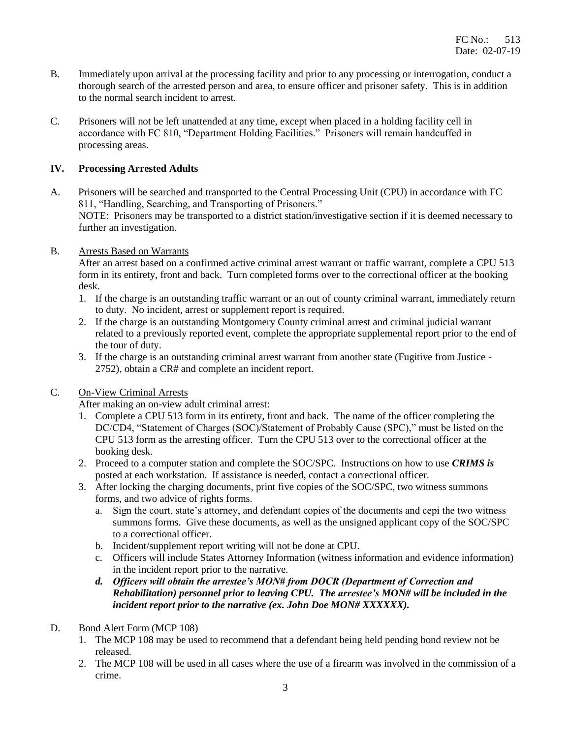- B. Immediately upon arrival at the processing facility and prior to any processing or interrogation, conduct a thorough search of the arrested person and area, to ensure officer and prisoner safety. This is in addition to the normal search incident to arrest.
- C. Prisoners will not be left unattended at any time, except when placed in a holding facility cell in accordance with FC 810, "Department Holding Facilities." Prisoners will remain handcuffed in processing areas.

#### **IV. Processing Arrested Adults**

- A. Prisoners will be searched and transported to the Central Processing Unit (CPU) in accordance with FC 811, "Handling, Searching, and Transporting of Prisoners." NOTE: Prisoners may be transported to a district station/investigative section if it is deemed necessary to further an investigation.
- B. Arrests Based on Warrants

 After an arrest based on a confirmed active criminal arrest warrant or traffic warrant, complete a CPU 513 form in its entirety, front and back. Turn completed forms over to the correctional officer at the booking desk.

- 1. If the charge is an outstanding traffic warrant or an out of county criminal warrant, immediately return to duty. No incident, arrest or supplement report is required.
- 2. If the charge is an outstanding Montgomery County criminal arrest and criminal judicial warrant related to a previously reported event, complete the appropriate supplemental report prior to the end of the tour of duty.
- 3. If the charge is an outstanding criminal arrest warrant from another state (Fugitive from Justice 2752), obtain a CR# and complete an incident report.
- C. On-View Criminal Arrests

After making an on-view adult criminal arrest:

- 1. Complete a CPU 513 form in its entirety, front and back. The name of the officer completing the DC/CD4, "Statement of Charges (SOC)/Statement of Probably Cause (SPC)," must be listed on the CPU 513 form as the arresting officer. Turn the CPU 513 over to the correctional officer at the booking desk.
- 2. Proceed to a computer station and complete the SOC/SPC. Instructions on how to use *CRIMS is* posted at each workstation. If assistance is needed, contact a correctional officer.
- 3. After locking the charging documents, print five copies of the SOC/SPC, two witness summons forms, and two advice of rights forms.
	- a. Sign the court, state's attorney, and defendant copies of the documents and cepi the two witness summons forms. Give these documents, as well as the unsigned applicant copy of the SOC/SPC to a correctional officer.
	- b. Incident/supplement report writing will not be done at CPU.
	- c. Officers will include States Attorney Information (witness information and evidence information) in the incident report prior to the narrative.
	- *d. Officers will obtain the arrestee's MON# from DOCR (Department of Correction and Rehabilitation) personnel prior to leaving CPU. The arrestee's MON# will be included in the incident report prior to the narrative (ex. John Doe MON# XXXXXX).*
- D. Bond Alert Form (MCP 108)
	- 1. The MCP 108 may be used to recommend that a defendant being held pending bond review not be released.
	- 2. The MCP 108 will be used in all cases where the use of a firearm was involved in the commission of a crime.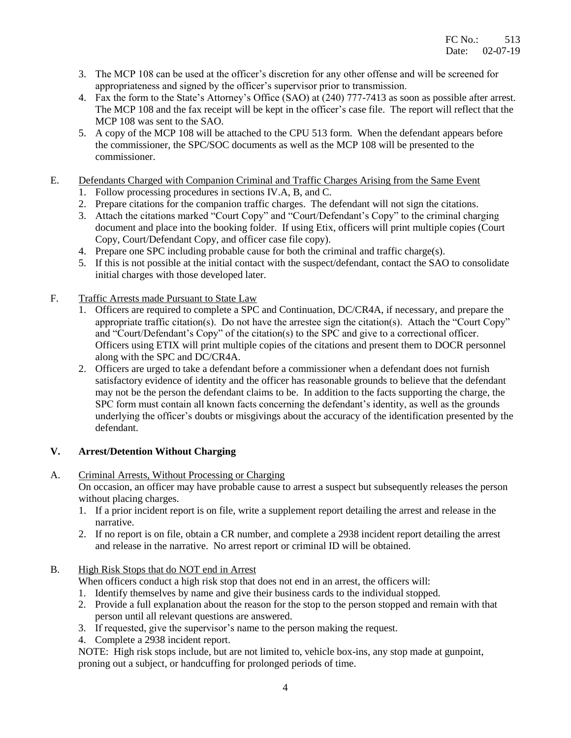- 3. The MCP 108 can be used at the officer's discretion for any other offense and will be screened for appropriateness and signed by the officer's supervisor prior to transmission.
- 4. Fax the form to the State's Attorney's Office (SAO) at (240) 777-7413 as soon as possible after arrest. The MCP 108 and the fax receipt will be kept in the officer's case file. The report will reflect that the MCP 108 was sent to the SAO.
- 5. A copy of the MCP 108 will be attached to the CPU 513 form. When the defendant appears before the commissioner, the SPC/SOC documents as well as the MCP 108 will be presented to the commissioner.
- E. Defendants Charged with Companion Criminal and Traffic Charges Arising from the Same Event
	- 1. Follow processing procedures in sections IV.A, B, and C.
	- 2. Prepare citations for the companion traffic charges. The defendant will not sign the citations.
	- 3. Attach the citations marked "Court Copy" and "Court/Defendant's Copy" to the criminal charging document and place into the booking folder. If using Etix, officers will print multiple copies (Court Copy, Court/Defendant Copy, and officer case file copy).
	- 4. Prepare one SPC including probable cause for both the criminal and traffic charge(s).
	- 5. If this is not possible at the initial contact with the suspect/defendant, contact the SAO to consolidate initial charges with those developed later.
- F. Traffic Arrests made Pursuant to State Law
	- 1. Officers are required to complete a SPC and Continuation, DC/CR4A, if necessary, and prepare the appropriate traffic citation(s). Do not have the arrestee sign the citation(s). Attach the "Court Copy" and "Court/Defendant's Copy" of the citation(s) to the SPC and give to a correctional officer. Officers using ETIX will print multiple copies of the citations and present them to DOCR personnel along with the SPC and DC/CR4A.
	- 2. Officers are urged to take a defendant before a commissioner when a defendant does not furnish satisfactory evidence of identity and the officer has reasonable grounds to believe that the defendant may not be the person the defendant claims to be. In addition to the facts supporting the charge, the SPC form must contain all known facts concerning the defendant's identity, as well as the grounds underlying the officer's doubts or misgivings about the accuracy of the identification presented by the defendant.

### **V. Arrest/Detention Without Charging**

A. Criminal Arrests, Without Processing or Charging

 On occasion, an officer may have probable cause to arrest a suspect but subsequently releases the person without placing charges.

- 1. If a prior incident report is on file, write a supplement report detailing the arrest and release in the narrative.
- 2. If no report is on file, obtain a CR number, and complete a 2938 incident report detailing the arrest and release in the narrative. No arrest report or criminal ID will be obtained.
- B. High Risk Stops that do NOT end in Arrest

When officers conduct a high risk stop that does not end in an arrest, the officers will:

- 1. Identify themselves by name and give their business cards to the individual stopped.
- 2. Provide a full explanation about the reason for the stop to the person stopped and remain with that person until all relevant questions are answered.
- 3. If requested, give the supervisor's name to the person making the request.
- 4. Complete a 2938 incident report.

NOTE: High risk stops include, but are not limited to, vehicle box-ins, any stop made at gunpoint, proning out a subject, or handcuffing for prolonged periods of time.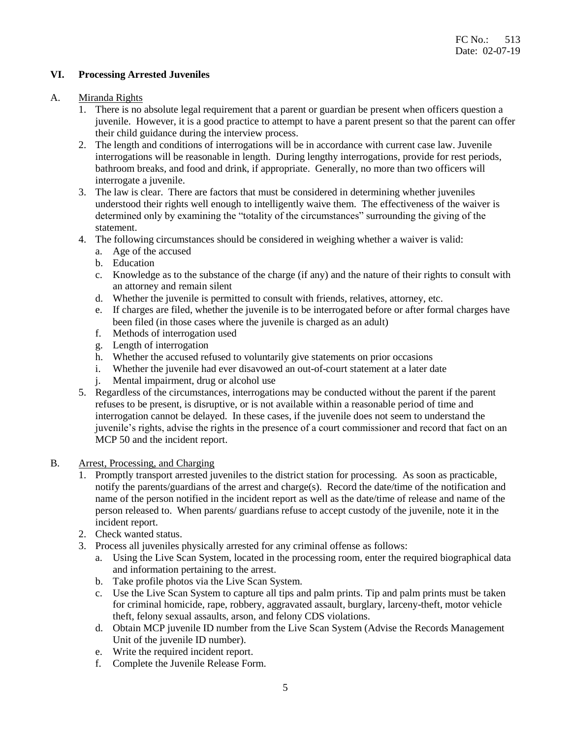#### **VI. Processing Arrested Juveniles**

#### A. Miranda Rights

- 1. There is no absolute legal requirement that a parent or guardian be present when officers question a juvenile. However, it is a good practice to attempt to have a parent present so that the parent can offer their child guidance during the interview process.
- 2. The length and conditions of interrogations will be in accordance with current case law. Juvenile interrogations will be reasonable in length. During lengthy interrogations, provide for rest periods, bathroom breaks, and food and drink, if appropriate. Generally, no more than two officers will interrogate a juvenile.
- 3. The law is clear. There are factors that must be considered in determining whether juveniles understood their rights well enough to intelligently waive them. The effectiveness of the waiver is determined only by examining the "totality of the circumstances" surrounding the giving of the statement.
- 4. The following circumstances should be considered in weighing whether a waiver is valid:
	- a. Age of the accused
	- b. Education
	- c. Knowledge as to the substance of the charge (if any) and the nature of their rights to consult with an attorney and remain silent
	- d. Whether the juvenile is permitted to consult with friends, relatives, attorney, etc.
	- e. If charges are filed, whether the juvenile is to be interrogated before or after formal charges have been filed (in those cases where the juvenile is charged as an adult)
	- f. Methods of interrogation used
	- g. Length of interrogation
	- h. Whether the accused refused to voluntarily give statements on prior occasions
	- i. Whether the juvenile had ever disavowed an out-of-court statement at a later date
	- j. Mental impairment, drug or alcohol use
- 5. Regardless of the circumstances, interrogations may be conducted without the parent if the parent refuses to be present, is disruptive, or is not available within a reasonable period of time and interrogation cannot be delayed. In these cases, if the juvenile does not seem to understand the juvenile's rights, advise the rights in the presence of a court commissioner and record that fact on an MCP 50 and the incident report.
- B. Arrest, Processing, and Charging
	- 1. Promptly transport arrested juveniles to the district station for processing. As soon as practicable, notify the parents/guardians of the arrest and charge(s). Record the date/time of the notification and name of the person notified in the incident report as well as the date/time of release and name of the person released to. When parents/ guardians refuse to accept custody of the juvenile, note it in the incident report.
	- 2. Check wanted status.
	- 3. Process all juveniles physically arrested for any criminal offense as follows:
		- a. Using the Live Scan System, located in the processing room, enter the required biographical data and information pertaining to the arrest.
		- b. Take profile photos via the Live Scan System.
		- c. Use the Live Scan System to capture all tips and palm prints. Tip and palm prints must be taken for criminal homicide, rape, robbery, aggravated assault, burglary, larceny-theft, motor vehicle theft, felony sexual assaults, arson, and felony CDS violations.
		- d. Obtain MCP juvenile ID number from the Live Scan System (Advise the Records Management Unit of the juvenile ID number).
		- e. Write the required incident report.
		- f. Complete the Juvenile Release Form.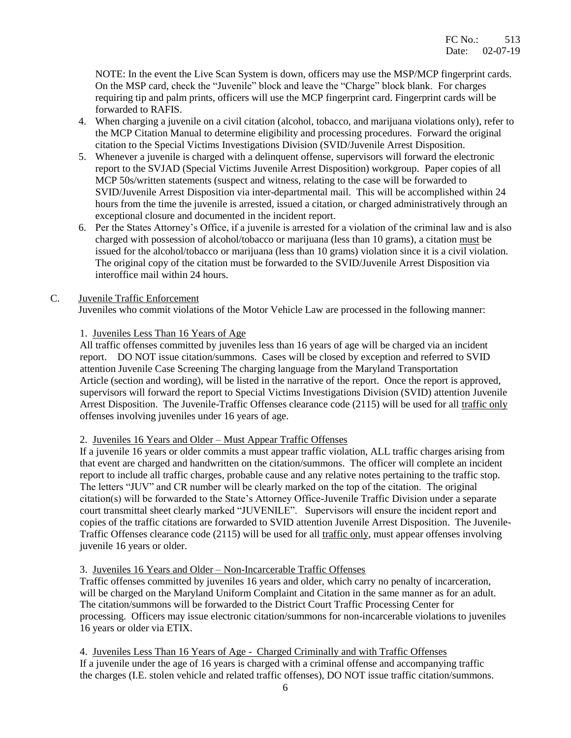NOTE: In the event the Live Scan System is down, officers may use the MSP/MCP fingerprint cards. On the MSP card, check the "Juvenile" block and leave the "Charge" block blank. For charges requiring tip and palm prints, officers will use the MCP fingerprint card. Fingerprint cards will be forwarded to RAFIS.

- 4. When charging a juvenile on a civil citation (alcohol, tobacco, and marijuana violations only), refer to the MCP Citation Manual to determine eligibility and processing procedures. Forward the original citation to the Special Victims Investigations Division (SVID/Juvenile Arrest Disposition.
- 5. Whenever a juvenile is charged with a delinquent offense, supervisors will forward the electronic report to the SVJAD (Special Victims Juvenile Arrest Disposition) workgroup. Paper copies of all MCP 50s/written statements (suspect and witness, relating to the case will be forwarded to SVID/Juvenile Arrest Disposition via inter-departmental mail. This will be accomplished within 24 hours from the time the juvenile is arrested, issued a citation, or charged administratively through an exceptional closure and documented in the incident report.
- 6. Per the States Attorney's Office, if a juvenile is arrested for a violation of the criminal law and is also charged with possession of alcohol/tobacco or marijuana (less than 10 grams), a citation must be issued for the alcohol/tobacco or marijuana (less than 10 grams) violation since it is a civil violation. The original copy of the citation must be forwarded to the SVID/Juvenile Arrest Disposition via interoffice mail within 24 hours.

#### C. Juvenile Traffic Enforcement

Juveniles who commit violations of the Motor Vehicle Law are processed in the following manner:

#### 1. Juveniles Less Than 16 Years of Age

 All traffic offenses committed by juveniles less than 16 years of age will be charged via an incident report. DO NOT issue citation/summons. Cases will be closed by exception and referred to SVID attention Juvenile Case Screening The charging language from the Maryland Transportation Article (section and wording), will be listed in the narrative of the report. Once the report is approved, supervisors will forward the report to Special Victims Investigations Division (SVID) attention Juvenile Arrest Disposition. The Juvenile-Traffic Offenses clearance code (2115) will be used for all traffic only offenses involving juveniles under 16 years of age.

#### 2. Juveniles 16 Years and Older – Must Appear Traffic Offenses

If a juvenile 16 years or older commits a must appear traffic violation, ALL traffic charges arising from that event are charged and handwritten on the citation/summons. The officer will complete an incident report to include all traffic charges, probable cause and any relative notes pertaining to the traffic stop. The letters "JUV" and CR number will be clearly marked on the top of the citation. The original citation(s) will be forwarded to the State's Attorney Office-Juvenile Traffic Division under a separate court transmittal sheet clearly marked "JUVENILE". Supervisors will ensure the incident report and copies of the traffic citations are forwarded to SVID attention Juvenile Arrest Disposition. The Juvenile-Traffic Offenses clearance code (2115) will be used for all traffic only, must appear offenses involving juvenile 16 years or older.

#### 3. Juveniles 16 Years and Older – Non-Incarcerable Traffic Offenses

 Traffic offenses committed by juveniles 16 years and older, which carry no penalty of incarceration, will be charged on the Maryland Uniform Complaint and Citation in the same manner as for an adult. The citation/summons will be forwarded to the District Court Traffic Processing Center for processing. Officers may issue electronic citation/summons for non-incarcerable violations to juveniles 16 years or older via ETIX.

 4. Juveniles Less Than 16 Years of Age - Charged Criminally and with Traffic Offenses If a juvenile under the age of 16 years is charged with a criminal offense and accompanying traffic the charges (I.E. stolen vehicle and related traffic offenses), DO NOT issue traffic citation/summons.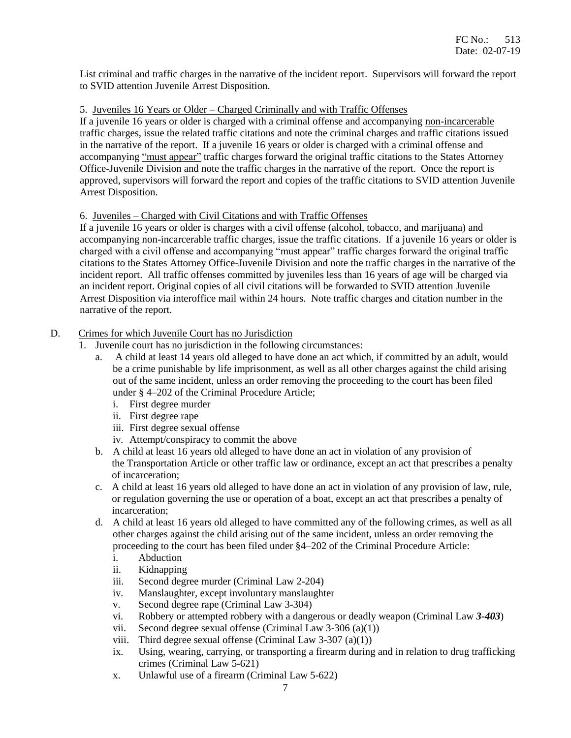List criminal and traffic charges in the narrative of the incident report. Supervisors will forward the report to SVID attention Juvenile Arrest Disposition.

#### 5. Juveniles 16 Years or Older – Charged Criminally and with Traffic Offenses

If a juvenile 16 years or older is charged with a criminal offense and accompanying non-incarcerable traffic charges, issue the related traffic citations and note the criminal charges and traffic citations issued in the narrative of the report. If a juvenile 16 years or older is charged with a criminal offense and accompanying "must appear" traffic charges forward the original traffic citations to the States Attorney Office-Juvenile Division and note the traffic charges in the narrative of the report. Once the report is approved, supervisors will forward the report and copies of the traffic citations to SVID attention Juvenile Arrest Disposition.

#### 6. Juveniles – Charged with Civil Citations and with Traffic Offenses

If a juvenile 16 years or older is charges with a civil offense (alcohol, tobacco, and marijuana) and accompanying non-incarcerable traffic charges, issue the traffic citations. If a juvenile 16 years or older is charged with a civil offense and accompanying "must appear" traffic charges forward the original traffic citations to the States Attorney Office-Juvenile Division and note the traffic charges in the narrative of the incident report. All traffic offenses committed by juveniles less than 16 years of age will be charged via an incident report. Original copies of all civil citations will be forwarded to SVID attention Juvenile Arrest Disposition via interoffice mail within 24 hours. Note traffic charges and citation number in the narrative of the report.

#### D. Crimes for which Juvenile Court has no Jurisdiction

- 1. Juvenile court has no jurisdiction in the following circumstances:
	- a. A child at least 14 years old alleged to have done an act which, if committed by an adult, would be a crime punishable by life imprisonment, as well as all other charges against the child arising out of the same incident, unless an order removing the proceeding to the court has been filed under § 4–202 of the Criminal Procedure Article;
		- i. First degree murder
		- ii. First degree rape
		- iii. First degree sexual offense
		- iv. Attempt/conspiracy to commit the above
	- b. A child at least 16 years old alleged to have done an act in violation of any provision of the Transportation Article or other traffic law or ordinance, except an act that prescribes a penalty of incarceration;
	- c. A child at least 16 years old alleged to have done an act in violation of any provision of law, rule, or regulation governing the use or operation of a boat, except an act that prescribes a penalty of incarceration;
	- d. A child at least 16 years old alleged to have committed any of the following crimes, as well as all other charges against the child arising out of the same incident, unless an order removing the proceeding to the court has been filed under §4–202 of the Criminal Procedure Article:
		- i. Abduction
		- ii. Kidnapping
		- iii. Second degree murder (Criminal Law 2-204)
		- iv. Manslaughter, except involuntary manslaughter
		- v. Second degree rape (Criminal Law 3-304)
		- vi. Robbery or attempted robbery with a dangerous or deadly weapon (Criminal Law *3-403*)
		- vii. Second degree sexual offense (Criminal Law 3-306 (a)(1))
		- viii. Third degree sexual offense (Criminal Law 3-307 (a)(1))
		- ix. Using, wearing, carrying, or transporting a firearm during and in relation to drug trafficking crimes (Criminal Law 5-621)
		- x. Unlawful use of a firearm (Criminal Law 5-622)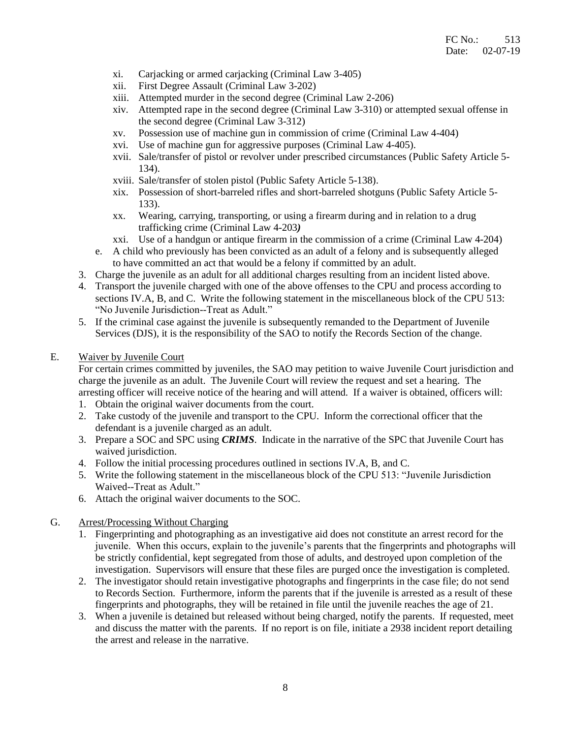- xi. Carjacking or armed carjacking (Criminal Law 3-405)
- xii. First Degree Assault (Criminal Law 3-202)
- xiii. Attempted murder in the second degree (Criminal Law 2-206)
- xiv. Attempted rape in the second degree (Criminal Law 3-310) or attempted sexual offense in the second degree (Criminal Law 3-312)
- xv. Possession use of machine gun in commission of crime (Criminal Law 4-404)
- xvi. Use of machine gun for aggressive purposes (Criminal Law 4-405).
- xvii. Sale/transfer of pistol or revolver under prescribed circumstances (Public Safety Article 5- 134).
- xviii. Sale/transfer of stolen pistol (Public Safety Article 5-138).
- xix. Possession of short-barreled rifles and short-barreled shotguns (Public Safety Article 5- 133).
- xx. Wearing, carrying, transporting, or using a firearm during and in relation to a drug trafficking crime (Criminal Law 4-203*)*
- xxi. Use of a handgun or antique firearm in the commission of a crime (Criminal Law 4-204)
- e. A child who previously has been convicted as an adult of a felony and is subsequently alleged to have committed an act that would be a felony if committed by an adult.
- 3. Charge the juvenile as an adult for all additional charges resulting from an incident listed above.
- 4. Transport the juvenile charged with one of the above offenses to the CPU and process according to sections IV.A, B, and C. Write the following statement in the miscellaneous block of the CPU 513: "No Juvenile Jurisdiction--Treat as Adult."
- 5. If the criminal case against the juvenile is subsequently remanded to the Department of Juvenile Services (DJS), it is the responsibility of the SAO to notify the Records Section of the change.

#### E. Waiver by Juvenile Court

 For certain crimes committed by juveniles, the SAO may petition to waive Juvenile Court jurisdiction and charge the juvenile as an adult. The Juvenile Court will review the request and set a hearing. The arresting officer will receive notice of the hearing and will attend. If a waiver is obtained, officers will:

- 1. Obtain the original waiver documents from the court.
- 2. Take custody of the juvenile and transport to the CPU. Inform the correctional officer that the defendant is a juvenile charged as an adult.
- 3. Prepare a SOC and SPC using *CRIMS*. Indicate in the narrative of the SPC that Juvenile Court has waived jurisdiction.
- 4. Follow the initial processing procedures outlined in sections IV.A, B, and C.
- 5. Write the following statement in the miscellaneous block of the CPU 513: "Juvenile Jurisdiction Waived--Treat as Adult."
- 6. Attach the original waiver documents to the SOC.
- G. Arrest/Processing Without Charging
	- 1. Fingerprinting and photographing as an investigative aid does not constitute an arrest record for the juvenile. When this occurs, explain to the juvenile's parents that the fingerprints and photographs will be strictly confidential, kept segregated from those of adults, and destroyed upon completion of the investigation. Supervisors will ensure that these files are purged once the investigation is completed.
	- 2. The investigator should retain investigative photographs and fingerprints in the case file; do not send to Records Section. Furthermore, inform the parents that if the juvenile is arrested as a result of these fingerprints and photographs, they will be retained in file until the juvenile reaches the age of 21.
	- 3. When a juvenile is detained but released without being charged, notify the parents. If requested, meet and discuss the matter with the parents. If no report is on file, initiate a 2938 incident report detailing the arrest and release in the narrative.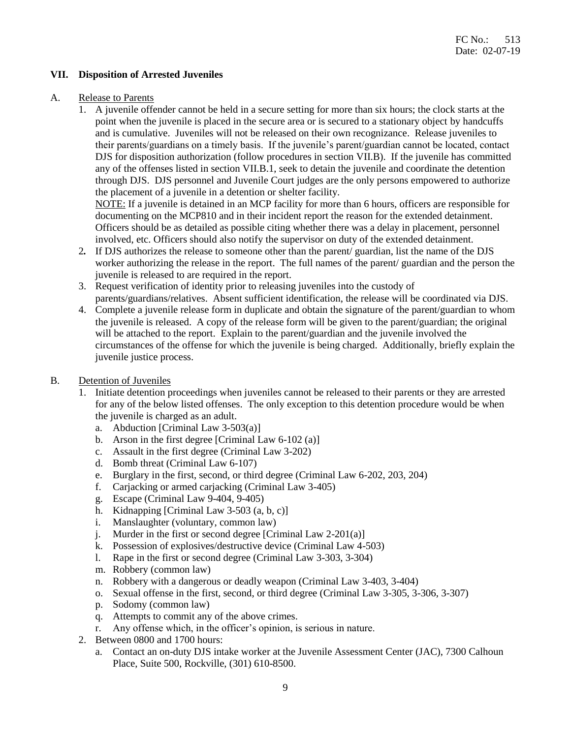#### **VII. Disposition of Arrested Juveniles**

#### A. Release to Parents

 1. A juvenile offender cannot be held in a secure setting for more than six hours; the clock starts at the point when the juvenile is placed in the secure area or is secured to a stationary object by handcuffs and is cumulative. Juveniles will not be released on their own recognizance. Release juveniles to their parents/guardians on a timely basis. If the juvenile's parent/guardian cannot be located, contact DJS for disposition authorization (follow procedures in section VII.B). If the juvenile has committed any of the offenses listed in section VII.B.1, seek to detain the juvenile and coordinate the detention through DJS. DJS personnel and Juvenile Court judges are the only persons empowered to authorize the placement of a juvenile in a detention or shelter facility.

 NOTE: If a juvenile is detained in an MCP facility for more than 6 hours, officers are responsible for documenting on the MCP810 and in their incident report the reason for the extended detainment. Officers should be as detailed as possible citing whether there was a delay in placement, personnel involved, etc. Officers should also notify the supervisor on duty of the extended detainment.

- 2*.* If DJS authorizes the release to someone other than the parent/ guardian, list the name of the DJS worker authorizing the release in the report. The full names of the parent/ guardian and the person the juvenile is released to are required in the report.
- 3. Request verification of identity prior to releasing juveniles into the custody of parents/guardians/relatives. Absent sufficient identification, the release will be coordinated via DJS.
- 4. Complete a juvenile release form in duplicate and obtain the signature of the parent/guardian to whom the juvenile is released. A copy of the release form will be given to the parent/guardian; the original will be attached to the report. Explain to the parent/guardian and the juvenile involved the circumstances of the offense for which the juvenile is being charged. Additionally, briefly explain the juvenile justice process.
- B. Detention of Juveniles
	- 1. Initiate detention proceedings when juveniles cannot be released to their parents or they are arrested for any of the below listed offenses. The only exception to this detention procedure would be when the juvenile is charged as an adult.
		- a. Abduction [Criminal Law 3-503(a)]
		- b. Arson in the first degree [Criminal Law  $6-102$  (a)]
		- c. Assault in the first degree (Criminal Law 3-202)
		- d. Bomb threat (Criminal Law 6-107)
		- e. Burglary in the first, second, or third degree (Criminal Law 6-202, 203, 204)
		- f. Carjacking or armed carjacking (Criminal Law 3-405)
		- g. Escape (Criminal Law 9-404, 9-405)
		- h. Kidnapping [Criminal Law 3-503 (a, b, c)]
		- i. Manslaughter (voluntary, common law)
		- j. Murder in the first or second degree [Criminal Law 2-201(a)]
		- k. Possession of explosives/destructive device (Criminal Law 4-503)
		- l. Rape in the first or second degree (Criminal Law 3-303, 3-304)
		- m. Robbery (common law)
		- n. Robbery with a dangerous or deadly weapon (Criminal Law 3-403, 3-404)
		- o. Sexual offense in the first, second, or third degree (Criminal Law 3-305, 3-306, 3-307)
		- p. Sodomy (common law)
		- q. Attempts to commit any of the above crimes.
		- r. Any offense which, in the officer's opinion, is serious in nature.
	- 2. Between 0800 and 1700 hours:
		- a. Contact an on-duty DJS intake worker at the Juvenile Assessment Center (JAC), 7300 Calhoun Place, Suite 500, Rockville, (301) 610-8500.